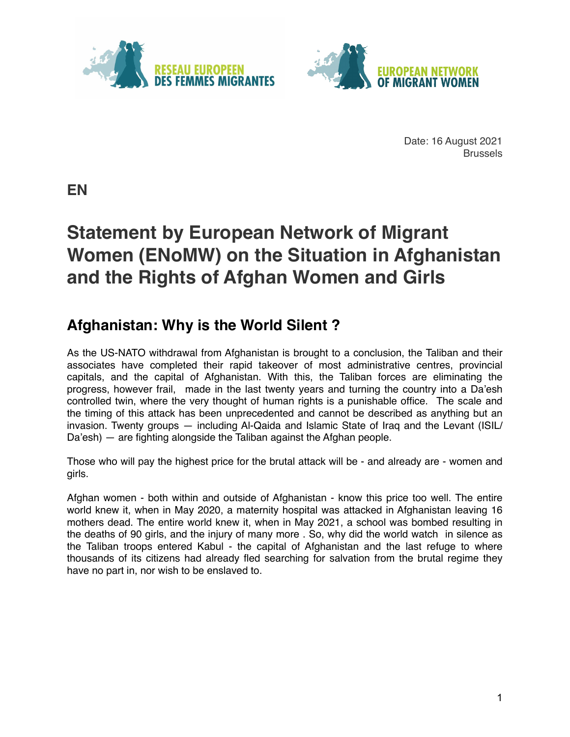



Date: 16 August 2021 Brussels

**EN**

# **Statement by European Network of Migrant Women (ENoMW) on the Situation in Afghanistan and the Rights of Afghan Women and Girls**

## **Afghanistan: Why is the World Silent ?**

As the US-NATO withdrawal from Afghanistan is brought to a conclusion, the Taliban and their associates have completed their rapid takeover of most administrative centres, provincial capitals, and the capital of Afghanistan. With this, the Taliban forces are eliminating the progress, however frail, made in the last twenty years and turning the country into a Da'esh controlled twin, where the very thought of human rights is a punishable office. The scale and the timing of this attack has been unprecedented and cannot be described as anything but an invasion. Twenty groups — including Al-Qaida and Islamic State of Iraq and the Levant (ISIL/ Da'esh) — are fighting alongside the Taliban against the Afghan people.

Those who will pay the highest price for the brutal attack will be - and already are - women and girls.

Afghan women - both within and outside of Afghanistan - know this price too well. The entire world knew it, when in May 2020, a maternity hospital was attacked in Afghanistan leaving 16 mothers dead. The entire world knew it, when in May 2021, a school was bombed resulting in the deaths of 90 girls, and the injury of many more . So, why did the world watch in silence as the Taliban troops entered Kabul - the capital of Afghanistan and the last refuge to where thousands of its citizens had already fled searching for salvation from the brutal regime they have no part in, nor wish to be enslaved to.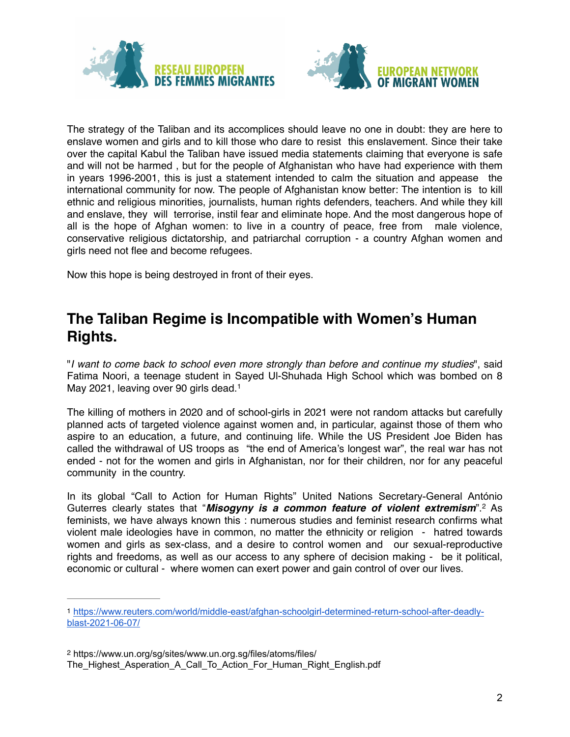



The strategy of the Taliban and its accomplices should leave no one in doubt: they are here to enslave women and girls and to kill those who dare to resist this enslavement. Since their take over the capital Kabul the Taliban have issued media statements claiming that everyone is safe and will not be harmed , but for the people of Afghanistan who have had experience with them in years 1996-2001, this is just a statement intended to calm the situation and appease the international community for now. The people of Afghanistan know better: The intention is to kill ethnic and religious minorities, journalists, human rights defenders, teachers. And while they kill and enslave, they will terrorise, instil fear and eliminate hope. And the most dangerous hope of all is the hope of Afghan women: to live in a country of peace, free from male violence, conservative religious dictatorship, and patriarchal corruption - a country Afghan women and girls need not flee and become refugees.

Now this hope is being destroyed in front of their eyes.

#### **The Taliban Regime is Incompatible with Women's Human Rights.**

<span id="page-1-2"></span>"*I want to come back to school even more strongly than before and continue my studies*", said Fatima Noori, a teenage student in Sayed Ul-Shuhada High School which was bombed on 8 May 202[1](#page-1-0), leaving over 90 girls dead.<sup>1</sup>

The killing of mothers in 2020 and of school-girls in 2021 were not random attacks but carefully planned acts of targeted violence against women and, in particular, against those of them who aspire to an education, a future, and continuing life. While the US President Joe Biden has called the withdrawal of US troops as "the end of America's longest war", the real war has not ended - not for the women and girls in Afghanistan, nor for their children, nor for any peaceful community in the country.

<span id="page-1-3"></span>In its global "Call to Action for Human Rights" United Nations Secretary-General António Guterresclearly states that "*Misogyny is a common feature of violent extremism*".<sup>[2](#page-1-1)</sup> As feminists, we have always known this : numerous studies and feminist research confirms what violent male ideologies have in common, no matter the ethnicity or religion - hatred towards women and girls as sex-class, and a desire to control women and our sexual-reproductive rights and freedoms, as well as our access to any sphere of decision making - be it political, economic or cultural - where women can exert power and gain control of over our lives.

<span id="page-1-1"></span>[2](#page-1-3) https://www.un.org/sg/sites/www.un.org.sg/files/atoms/files/ The Highest Asperation A Call To Action For Human Right English.pdf

<span id="page-1-0"></span>[<sup>1</sup>](#page-1-2) [https://www.reuters.com/world/middle-east/afghan-schoolgirl-determined-return-school-after-deadly](https://www.reuters.com/world/middle-east/afghan-schoolgirl-determined-return-school-after-deadly-blast-2021-06-07/)[blast-2021-06-07/](https://www.reuters.com/world/middle-east/afghan-schoolgirl-determined-return-school-after-deadly-blast-2021-06-07/)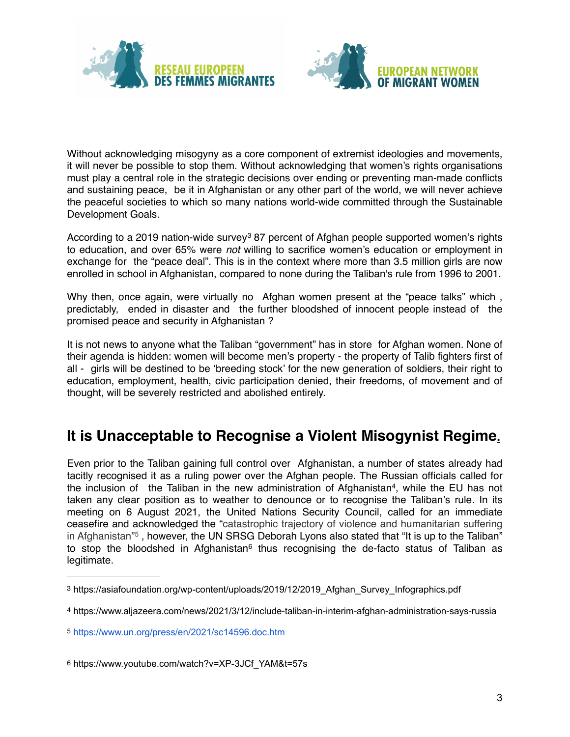



Without acknowledging misogyny as a core component of extremist ideologies and movements, it will never be possible to stop them. Without acknowledging that women's rights organisations must play a central role in the strategic decisions over ending or preventing man-made conflicts and sustaining peace, be it in Afghanistan or any other part of the world, we will never achieve the peaceful societies to which so many nations world-wide committed through the Sustainable Development Goals.

<span id="page-2-4"></span>Accordingto a 2019 nation-wide survey<sup>[3](#page-2-0)</sup> 87 percent of Afghan people supported women's rights to education, and over 65% were *not* willing to sacrifice women's education or employment in exchange for the "peace deal". This is in the context where more than 3.5 million girls are now enrolled in school in Afghanistan, compared to none during the Taliban's rule from 1996 to 2001.

Why then, once again, were virtually no Afghan women present at the "peace talks" which , predictably, ended in disaster and the further bloodshed of innocent people instead of the promised peace and security in Afghanistan ?

It is not news to anyone what the Taliban "government" has in store for Afghan women. None of their agenda is hidden: women will become men's property - the property of Talib fighters first of all - girls will be destined to be 'breeding stock' for the new generation of soldiers, their right to education, employment, health, civic participation denied, their freedoms, of movement and of thought, will be severely restricted and abolished entirely.

### **It is Unacceptable to Recognise a Violent Misogynist Regime.**

<span id="page-2-5"></span>Even prior to the Taliban gaining full control over Afghanistan, a number of states already had tacitly recognised it as a ruling power over the Afghan people. The Russian officials called for the inclusion of the Taliban in the new administration of Afghanistan<sup>[4](#page-2-1)</sup>, while the EU has not taken any clear position as to weather to denounce or to recognise the Taliban's rule. In its meeting on 6 August 2021, the United Nations Security Council, called for an immediate ceasefire and acknowledged the "catastrophic trajectory of violence and humanitarian suffering inAfghanistan $35$  $35$ , however, the UN SRSG Deborah Lyons also stated that "It is up to the Taliban" tostop the bloodshed in Afghanistan<sup>[6](#page-2-3)</sup> thus recognising the de-facto status of Taliban as legitimate.

<span id="page-2-7"></span><span id="page-2-6"></span><span id="page-2-0"></span>[<sup>3</sup>](#page-2-4) https://asiafoundation.org/wp-content/uploads/2019/12/2019\_Afghan\_Survey\_Infographics.pdf

<span id="page-2-1"></span>[<sup>4</sup>](#page-2-5) https://www.aljazeera.com/news/2021/3/12/include-taliban-in-interim-afghan-administration-says-russia

<span id="page-2-2"></span>[<sup>5</sup>](#page-2-6) <https://www.un.org/press/en/2021/sc14596.doc.htm>

<span id="page-2-3"></span>[<sup>6</sup>](#page-2-7) https://www.youtube.com/watch?v=XP-3JCf\_YAM&t=57s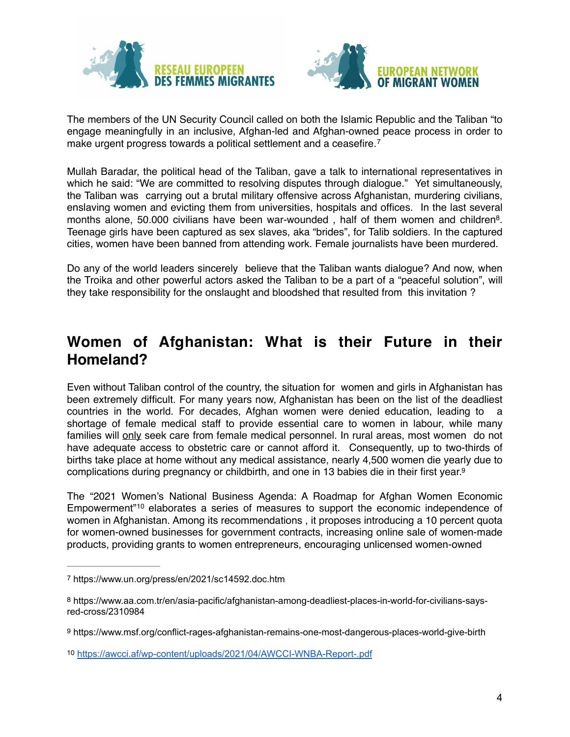

<span id="page-3-5"></span><span id="page-3-4"></span>

The members of the UN Security Council called on both the Islamic Republic and the Taliban "to engage meaningfully in an inclusive, Afghan-led and Afghan-owned peace process in order to make urgent progress towards a political settlement and a ceasefire.<sup>[7](#page-3-0)</sup>

Mullah Baradar, the political head of the Taliban, gave a talk to international representatives in which he said: "We are committed to resolving disputes through dialogue." Yet simultaneously, the Taliban was carrying out a brutal military offensive across Afghanistan, murdering civilians, enslaving women and evicting them from universities, hospitals and offices. In the last several months alone,  $50.000$  $50.000$  $50.000$  civilians have been war-wounded, half of them women and children<sup>[8](#page-3-1)</sup>. Teenage girls have been captured as sex slaves, aka "brides", for Talib soldiers. In the captured cities, women have been banned from attending work. Female journalists have been murdered.

Do any of the world leaders sincerely believe that the Taliban wants dialogue? And now, when the Troika and other powerful actors asked the Taliban to be a part of a "peaceful solution", will they take responsibility for the onslaught and bloodshed that resulted from this invitation ?

#### **Women of Afghanistan: What is their Future in their Homeland?**

Even without Taliban control of the country, the situation for women and girls in Afghanistan has been extremely difficult. For many years now, Afghanistan has been on the list of the deadliest countries in the world. For decades, Afghan women were denied education, leading to a shortage of female medical staff to provide essential care to women in labour, while many families will only seek care from female medical personnel. In rural areas, most women do not have adequate access to obstetric care or cannot afford it. Consequently, up to two-thirds of births take place at home without any medical assistance, nearly 4,500 women die yearly due to complications during pregnancy or childbirth, and one in 13 babies die in their first year[.9](#page-3-2)

<span id="page-3-7"></span><span id="page-3-6"></span>The "2021 Women's National Business Agenda: A Roadmap for Afghan Women Economic Empowerment<sup>"10</sup>elaborates a series of measures to support the economic independence of women in Afghanistan. Among its recommendations , it proposes introducing a 10 percent quota for women-owned businesses for government contracts, increasing online sale of women-made products, providing grants to women entrepreneurs, encouraging unlicensed women-owned

<span id="page-3-0"></span>[<sup>7</sup>](#page-3-4) https://www.un.org/press/en/2021/sc14592.doc.htm

<span id="page-3-1"></span>[<sup>8</sup>](#page-3-5) https://www.aa.com.tr/en/asia-pacific/afghanistan-among-deadliest-places-in-world-for-civilians-saysred-cross/2310984

<span id="page-3-2"></span>[<sup>9</sup>](#page-3-6) https://www.msf.org/conflict-rages-afghanistan-remains-one-most-dangerous-places-world-give-birth

<span id="page-3-3"></span>[<sup>10</sup>](#page-3-7) <https://awcci.af/wp-content/uploads/2021/04/AWCCI-WNBA-Report-.pdf>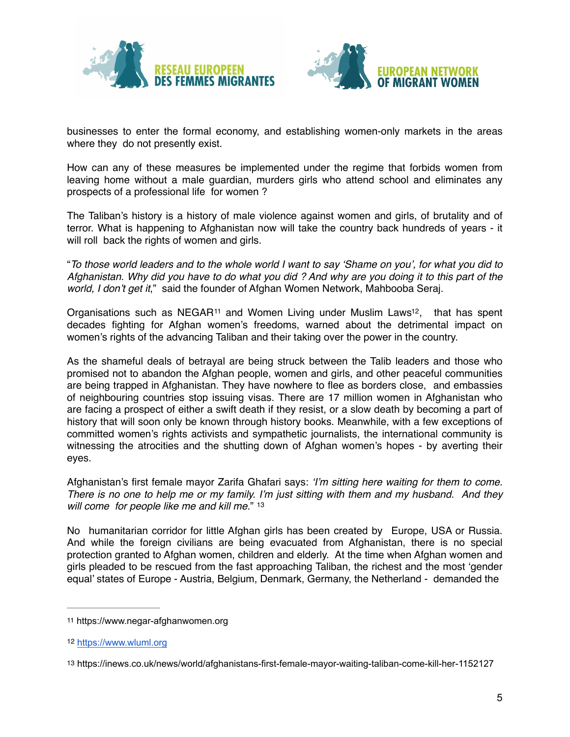

<span id="page-4-4"></span>

businesses to enter the formal economy, and establishing women-only markets in the areas where they do not presently exist.

How can any of these measures be implemented under the regime that forbids women from leaving home without a male guardian, murders girls who attend school and eliminates any prospects of a professional life for women ?

The Taliban's history is a history of male violence against women and girls, of brutality and of terror. What is happening to Afghanistan now will take the country back hundreds of years - it will roll back the rights of women and girls.

"*To those world leaders and to the whole world I want to say 'Shame on you', for what you did to Afghanistan. Why did you have to do what you did ? And why are you doing it to this part of the world, I don't get it*," said the founder of Afghan Women Network, Mahbooba Seraj.

<span id="page-4-3"></span>Organisations such as NEGAR<sup>11</sup> and Women Living under Muslim Laws<sup>12</sup>[,](#page-4-1) that has spent decades fighting for Afghan women's freedoms, warned about the detrimental impact on women's rights of the advancing Taliban and their taking over the power in the country.

As the shameful deals of betrayal are being struck between the Talib leaders and those who promised not to abandon the Afghan people, women and girls, and other peaceful communities are being trapped in Afghanistan. They have nowhere to flee as borders close, and embassies of neighbouring countries stop issuing visas. There are 17 million women in Afghanistan who are facing a prospect of either a swift death if they resist, or a slow death by becoming a part of history that will soon only be known through history books. Meanwhile, with a few exceptions of committed women's rights activists and sympathetic journalists, the international community is witnessing the atrocities and the shutting down of Afghan women's hopes - by averting their eyes.

<span id="page-4-5"></span>Afghanistan's first female mayor Zarifa Ghafari says: *'I'm sitting here waiting for them to come. There is no one to help me or my family. I'm just sitting with them and my husband. And they will come for people like me and kill me.*" [13](#page-4-2)

No humanitarian corridor for little Afghan girls has been created by Europe, USA or Russia. And while the foreign civilians are being evacuated from Afghanistan, there is no special protection granted to Afghan women, children and elderly. At the time when Afghan women and girls pleaded to be rescued from the fast approaching Taliban, the richest and the most 'gender equal' states of Europe - Austria, Belgium, Denmark, Germany, the Netherland - demanded the

<span id="page-4-0"></span>[<sup>11</sup>](#page-4-3) https://www.negar-afghanwomen.org

<span id="page-4-1"></span>[<sup>12</sup>](#page-4-4) [https://www.wluml.org](https://www.wluml.org/how-to-help/)

<span id="page-4-2"></span>[<sup>13</sup>](#page-4-5) https://inews.co.uk/news/world/afghanistans-first-female-mayor-waiting-taliban-come-kill-her-1152127